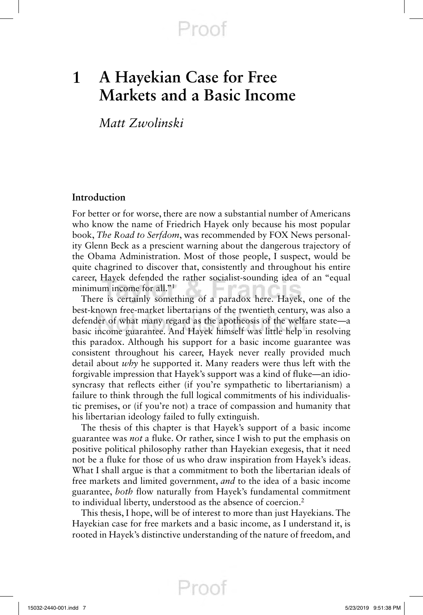### **A Hayekian Case for Free Markets and a Basic Income 1**

 *Matt Zwolinski* 

### **Introduction**

For better or for worse, there are now a substantial number of Americans who know the name of Friedrich Hayek only because his most popular book, *The Road to Serfdom*, was recommended by FOX News personality Glenn Beck as a prescient warning about the dangerous trajectory of the Obama Administration. Most of those people, I suspect, would be quite chagrined to discover that, consistently and throughout his entire career, Hayek defended the rather socialist-sounding idea of an "equal minimum income for all."<sup>1</sup>

There is certainly something of a paradox here. Hayek, one of the best-known free-market libertarians of the twentieth century, was also a defender of what many regard as the apotheosis of the welfare state—a basic income guarantee. And Hayek himself was little help in resolving this paradox. Although his support for a basic income guarantee was consistent throughout his career, Hayek never really provided much detail about *why* he supported it. Many readers were thus left with the forgivable impression that Hayek's support was a kind of fluke—an idiosyncrasy that reflects either (if you're sympathetic to libertarianism) a failure to think through the full logical commitments of his individualistic premises, or (if you're not) a trace of compassion and humanity that his libertarian ideology failed to fully extinguish.

The thesis of this chapter is that Hayek's support of a basic income guarantee was *not* a fluke. Or rather, since I wish to put the emphasis on positive political philosophy rather than Hayekian exegesis, that it need not be a fluke for those of us who draw inspiration from Hayek's ideas. What I shall argue is that a commitment to both the libertarian ideals of free markets and limited government, *and* to the idea of a basic income guarantee, *both* flow naturally from Hayek's fundamental commitment to individual liberty, understood as the absence of coercion. 2

This thesis, I hope, will be of interest to more than just Hayekians. The Hayekian case for free markets and a basic income, as I understand it, is rooted in Hayek's distinctive understanding of the nature of freedom, and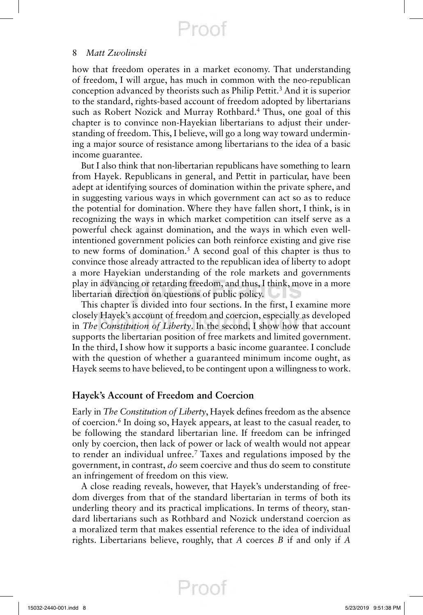#### 8 *Matt Zwolinski*

how that freedom operates in a market economy. That understanding of freedom, I will argue, has much in common with the neo-republican conception advanced by theorists such as Philip Pettit. 3 And it is superior to the standard, rights-based account of freedom adopted by libertarians such as Robert Nozick and Murray Rothbard.<sup>4</sup> Thus, one goal of this chapter is to convince non-Hayekian libertarians to adjust their understanding of freedom. This, I believe, will go a long way toward undermining a major source of resistance among libertarians to the idea of a basic income guarantee.

But I also think that non-libertarian republicans have something to learn from Hayek. Republicans in general, and Pettit in particular, have been adept at identifying sources of domination within the private sphere, and in suggesting various ways in which government can act so as to reduce the potential for domination. Where they have fallen short, I think, is in recognizing the ways in which market competition can itself serve as a powerful check against domination, and the ways in which even wellintentioned government policies can both reinforce existing and give rise to new forms of domination.<sup>5</sup> A second goal of this chapter is thus to convince those already attracted to the republican idea of liberty to adopt a more Hayekian understanding of the role markets and governments play in advancing or retarding freedom, and thus, I think, move in a more libertarian direction on questions of public policy.

This chapter is divided into four sections. In the first, I examine more closely Hayek's account of freedom and coercion, especially as developed in *The Constitution of Liberty*. In the second, I show how that account supports the libertarian position of free markets and limited government. In the third, I show how it supports a basic income guarantee. I conclude with the question of whether a guaranteed minimum income ought, as Hayek seems to have believed, to be contingent upon a willingness to work.

#### **Hayek's Account of Freedom and Coercion**

Early in *The Constitution of Liberty*, Hayek defines freedom as the absence of coercion. 6 In doing so, Hayek appears, at least to the casual reader, to be following the standard libertarian line. If freedom can be infringed only by coercion, then lack of power or lack of wealth would not appear to render an individual unfree.<sup>7</sup> Taxes and regulations imposed by the government, in contrast, *do* seem coercive and thus do seem to constitute an infringement of freedom on this view.

A close reading reveals, however, that Hayek's understanding of freedom diverges from that of the standard libertarian in terms of both its underling theory and its practical implications. In terms of theory, standard libertarians such as Rothbard and Nozick understand coercion as a moralized term that makes essential reference to the idea of individual rights. Libertarians believe, roughly, that *A* coerces *B* if and only if *A*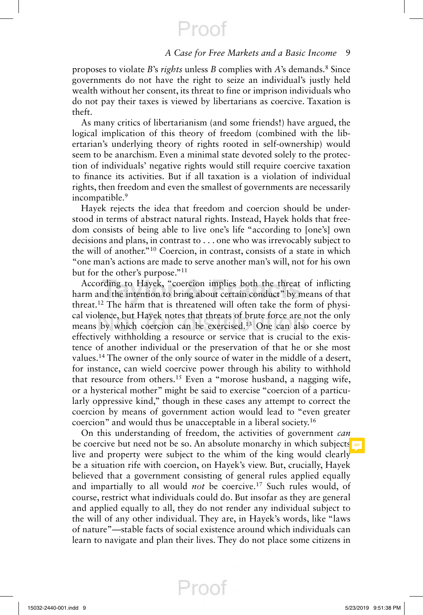## Proot

#### *A Case for Free Markets and a Basic Income* 9

proposes to violate *B*'s *rights* unless *B* complies with *A*'s demands. 8 Since governments do not have the right to seize an individual's justly held wealth without her consent, its threat to fine or imprison individuals who do not pay their taxes is viewed by libertarians as coercive. Taxation is theft.

As many critics of libertarianism (and some friends!) have argued, the logical implication of this theory of freedom (combined with the libertarian's underlying theory of rights rooted in self-ownership) would seem to be anarchism. Even a minimal state devoted solely to the protection of individuals' negative rights would still require coercive taxation to finance its activities. But if all taxation is a violation of individual rights, then freedom and even the smallest of governments are necessarily incompatible.<sup>9</sup>

Hayek rejects the idea that freedom and coercion should be understood in terms of abstract natural rights. Instead, Hayek holds that freedom consists of being able to live one's life "according to [one's] own decisions and plans, in contrast to . . . one who was irrevocably subject to the will of another."<sup>10</sup> Coercion, in contrast, consists of a state in which "one man's actions are made to serve another man's will, not for his own but for the other's purpose."<sup>11</sup>

According to Hayek, "coercion implies both the threat of inflicting harm and the intention to bring about certain conduct" by means of that threat. 12 The harm that is threatened will often take the form of physical violence, but Hayek notes that threats of brute force are not the only means by which coercion can be exercised.<sup>13</sup> One can also coerce by effectively withholding a resource or service that is crucial to the existence of another individual or the preservation of that he or she most values. 14 The owner of the only source of water in the middle of a desert, for instance, can wield coercive power through his ability to withhold that resource from others. 15 Even a "morose husband, a nagging wife, or a hysterical mother" might be said to exercise "coercion of a particularly oppressive kind," though in these cases any attempt to correct the coercion by means of government action would lead to "even greater coercion" and would thus be unacceptable in a liberal society. 16

On this understanding of freedom, the activities of government *can* be coercive but need not be so. An absolute monarchy in which subjects live and property were subject to the whim of the king would clearly be a situation rife with coercion, on Hayek's view. But, crucially, Hayek believed that a government consisting of general rules applied equally and impartially to all would *not* be coercive.<sup>17</sup> Such rules would, of course, restrict what individuals could do. But insofar as they are general and applied equally to all, they do not render any individual subject to the will of any other individual. They are, in Hayek's words, like "laws of nature"—stable facts of social existence around which individuals can learn to navigate and plan their lives. They do not place some citizens in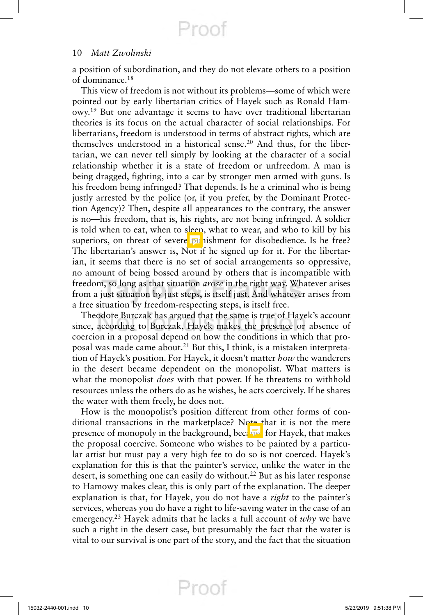## Proot

#### 10 *Matt Zwolinski*

a position of subordination, and they do not elevate others to a position of dominance. 18

This view of freedom is not without its problems—some of which were pointed out by early libertarian critics of Hayek such as Ronald Hamowy. 19 But one advantage it seems to have over traditional libertarian theories is its focus on the actual character of social relationships. For libertarians, freedom is understood in terms of abstract rights, which are themselves understood in a historical sense.<sup>20</sup> And thus, for the libertarian, we can never tell simply by looking at the character of a social relationship whether it is a state of freedom or unfreedom. A man is being dragged, fighting, into a car by stronger men armed with guns. Is his freedom being infringed? That depends. Is he a criminal who is being justly arrested by the police (or, if you prefer, by the Dominant Protection Agency)? Then, despite all appearances to the contrary, the answer is no—his freedom, that is, his rights, are not being infringed. A soldier is told when to eat, when to sleep, what to wear, and who to kill by his superiors, on threat of severe  $\bar{p}_k$  hishment for disobedience. Is he free? The libertarian's answer is, Not if he signed up for it. For the libertarian, it seems that there is no set of social arrangements so oppressive, no amount of being bossed around by others that is incompatible with freedom, so long as that situation *arose* in the right way. Whatever arises from a just situation by just steps, is itself just. And whatever arises from a free situation by freedom-respecting steps, is itself free.

Theodore Burczak has argued that the same is true of Hayek's account since, according to Burczak, Hayek makes the presence or absence of coercion in a proposal depend on how the conditions in which that proposal was made came about. 21 But this, I think, is a mistaken interpretation of Hayek's position. For Hayek, it doesn't matter *how* the wanderers in the desert became dependent on the monopolist. What matters is what the monopolist *does* with that power. If he threatens to withhold resources unless the others do as he wishes, he acts coercively. If he shares the water with them freely, he does not.

How is the monopolist's position different from other forms of conditional transactions in the marketplace? Note that it is not the mere presence of monopoly in the background, because for Hayek, that makes the proposal coercive. Someone who wishes to be painted by a particular artist but must pay a very high fee to do so is not coerced. Hayek's explanation for this is that the painter's service, unlike the water in the desert, is something one can easily do without.<sup>22</sup> But as his later response to Hamowy makes clear, this is only part of the explanation. The deeper explanation is that, for Hayek, you do not have a *right* to the painter's services, whereas you do have a right to life-saving water in the case of an emergency.<sup>23</sup> Hayek admits that he lacks a full account of *why* we have such a right in the desert case, but presumably the fact that the water is vital to our survival is one part of the story, and the fact that the situation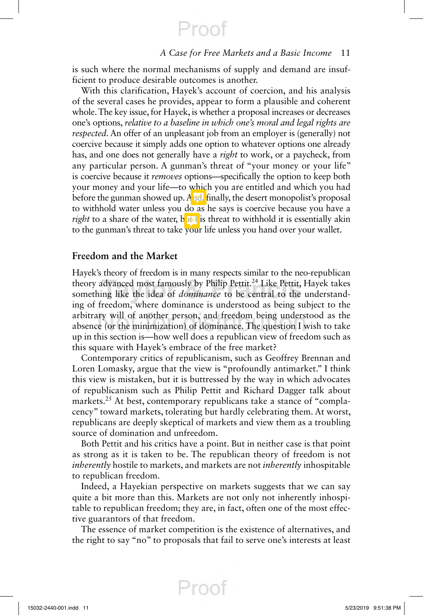### *A Case for Free Markets and a Basic Income* 11

is such where the normal mechanisms of supply and demand are insufficient to produce desirable outcomes is another.

With this clarification, Hayek's account of coercion, and his analysis of the several cases he provides, appear to form a plausible and coherent whole. The key issue, for Hayek, is whether a proposal increases or decreases one's options, *relative to a baseline in which one's moral and legal rights are respected*. An offer of an unpleasant job from an employer is (generally) not coercive because it simply adds one option to whatever options one already has, and one does not generally have a *right* to work, or a paycheck, from any particular person. A gunman's threat of "your money or your life" is coercive because it *removes* options—specifically the option to keep both your money and your life—to which you are entitled and which you had before the gunman showed up.  $A_{\overline{16}}$  finally, the desert monopolist's proposal to withhold water unless you do as he says is coercive because you have a *right* to a share of the water,  $b \neq b$  is threat to withhold it is essentially akin to the gunman's threat to take your life unless you hand over your wallet.

### **Freedom and the Market**

Hayek's theory of freedom is in many respects similar to the neo-republican theory advanced most famously by Philip Pettit. 24 Like Pettit, Hayek takes something like the idea of *dominance* to be central to the understanding of freedom, where dominance is understood as being subject to the arbitrary will of another person, and freedom being understood as the absence (or the minimization) of dominance. The question I wish to take up in this section is—how well does a republican view of freedom such as this square with Hayek's embrace of the free market?

Contemporary critics of republicanism, such as Geoffrey Brennan and Loren Lomasky, argue that the view is "profoundly antimarket." I think this view is mistaken, but it is buttressed by the way in which advocates of republicanism such as Philip Pettit and Richard Dagger talk about markets.<sup>25</sup> At best, contemporary republicans take a stance of "complacency" toward markets, tolerating but hardly celebrating them. At worst, republicans are deeply skeptical of markets and view them as a troubling source of domination and unfreedom.

Both Pettit and his critics have a point. But in neither case is that point as strong as it is taken to be. The republican theory of freedom is not *inherently* hostile to markets, and markets are not *inherently* inhospitable to republican freedom.

Indeed, a Hayekian perspective on markets suggests that we can say quite a bit more than this. Markets are not only not inherently inhospitable to republican freedom; they are, in fact, often one of the most effective guarantors of that freedom.

The essence of market competition is the existence of alternatives, and the right to say "no" to proposals that fail to serve one's interests at least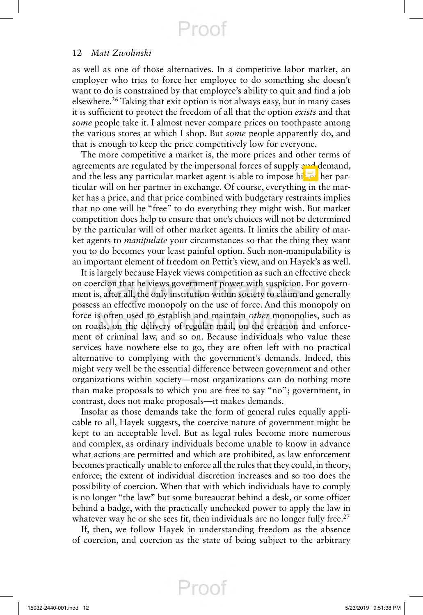#### 12 *Matt Zwolinski*

as well as one of those alternatives. In a competitive labor market, an employer who tries to force her employee to do something she doesn't want to do is constrained by that employee's ability to quit and find a job elsewhere. 26 Taking that exit option is not always easy, but in many cases it is sufficient to protect the freedom of all that the option *exists* and that *some* people take it. I almost never compare prices on toothpaste among the various stores at which I shop. But *some* people apparently do, and that is enough to keep the price competitively low for everyone.

The more competitive a market is, the more prices and other terms of agreements are regulated by the impersonal forces of supply and demand, and the less any particular market agent is able to impose his  $\mathbb{R}^n$  her particular will on her partner in exchange. Of course, everything in the market has a price, and that price combined with budgetary restraints implies that no one will be "free" to do everything they might wish. But market competition does help to ensure that one's choices will not be determined by the particular will of other market agents. It limits the ability of market agents to *manipulate* your circumstances so that the thing they want you to do becomes your least painful option. Such non-manipulability is an important element of freedom on Pettit's view, and on Hayek's as well.

It is largely because Hayek views competition as such an effective check on coercion that he views government power with suspicion. For government is, after all, the only institution within society to claim and generally possess an effective monopoly on the use of force. And this monopoly on force is often used to establish and maintain *other* monopolies, such as on roads, on the delivery of regular mail, on the creation and enforcement of criminal law, and so on. Because individuals who value these services have nowhere else to go, they are often left with no practical alternative to complying with the government's demands. Indeed, this might very well be the essential difference between government and other organizations within society—most organizations can do nothing more than make proposals to which you are free to say "no"; government, in contrast, does not make proposals—it makes demands.

Insofar as those demands take the form of general rules equally applicable to all, Hayek suggests, the coercive nature of government might be kept to an acceptable level. But as legal rules become more numerous and complex, as ordinary individuals become unable to know in advance what actions are permitted and which are prohibited, as law enforcement becomes practically unable to enforce all the rules that they could, in theory, enforce; the extent of individual discretion increases and so too does the possibility of coercion. When that with which individuals have to comply is no longer "the law" but some bureaucrat behind a desk, or some officer behind a badge, with the practically unchecked power to apply the law in whatever way he or she sees fit, then individuals are no longer fully free.<sup>27</sup>

If, then, we follow Hayek in understanding freedom as the absence of coercion, and coercion as the state of being subject to the arbitrary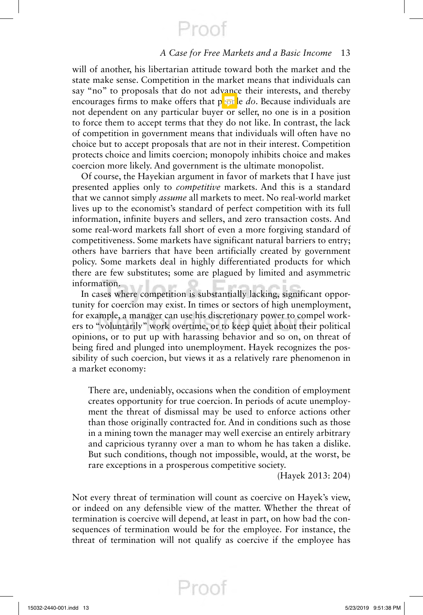#### *A Case for Free Markets and a Basic Income* 13

will of another, his libertarian attitude toward both the market and the state make sense. Competition in the market means that individuals can say "no" to proposals that do not advance their interests, and thereby encourages firms to make offers that p<sub>eople</sub> *do*. Because individuals are not dependent on any particular buyer or seller, no one is in a position to force them to accept terms that they do not like. In contrast, the lack of competition in government means that individuals will often have no choice but to accept proposals that are not in their interest. Competition protects choice and limits coercion; monopoly inhibits choice and makes coercion more likely. And government is the ultimate monopolist.

Of course, the Hayekian argument in favor of markets that I have just presented applies only to *competitive* markets. And this is a standard that we cannot simply *assume* all markets to meet. No real-world market lives up to the economist's standard of perfect competition with its full information, infinite buyers and sellers, and zero transaction costs. And some real-word markets fall short of even a more forgiving standard of competitiveness. Some markets have significant natural barriers to entry; others have barriers that have been artificially created by government policy. Some markets deal in highly differentiated products for which there are few substitutes; some are plagued by limited and asymmetric information.

In cases where competition is substantially lacking, significant opportunity for coercion may exist. In times or sectors of high unemployment, for example, a manager can use his discretionary power to compel workers to "voluntarily" work overtime, or to keep quiet about their political opinions, or to put up with harassing behavior and so on, on threat of being fired and plunged into unemployment. Hayek recognizes the possibility of such coercion, but views it as a relatively rare phenomenon in a market economy:

There are, undeniably, occasions when the condition of employment creates opportunity for true coercion. In periods of acute unemployment the threat of dismissal may be used to enforce actions other than those originally contracted for. And in conditions such as those in a mining town the manager may well exercise an entirely arbitrary and capricious tyranny over a man to whom he has taken a dislike. But such conditions, though not impossible, would, at the worst, be rare exceptions in a prosperous competitive society.

(Hayek 2013: 204)

Not every threat of termination will count as coercive on Hayek's view, or indeed on any defensible view of the matter. Whether the threat of termination is coercive will depend, at least in part, on how bad the consequences of termination would be for the employee. For instance, the threat of termination will not qualify as coercive if the employee has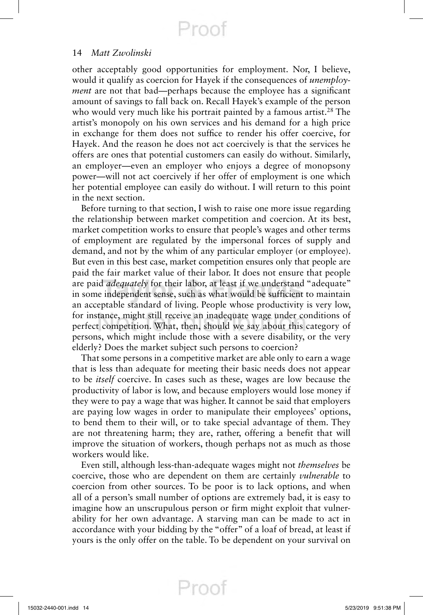### Proot

#### 14 *Matt Zwolinski*

other acceptably good opportunities for employment. Nor, I believe, would it qualify as coercion for Hayek if the consequences of *unemployment* are not that bad—perhaps because the employee has a significant amount of savings to fall back on. Recall Hayek's example of the person who would very much like his portrait painted by a famous artist.<sup>28</sup> The artist's monopoly on his own services and his demand for a high price in exchange for them does not suffice to render his offer coercive, for Hayek. And the reason he does not act coercively is that the services he offers are ones that potential customers can easily do without. Similarly, an employer—even an employer who enjoys a degree of monopsony power—will not act coercively if her offer of employment is one which her potential employee can easily do without. I will return to this point in the next section.

Before turning to that section, I wish to raise one more issue regarding the relationship between market competition and coercion. At its best, market competition works to ensure that people's wages and other terms of employment are regulated by the impersonal forces of supply and demand, and not by the whim of any particular employer (or employee). But even in this best case, market competition ensures only that people are paid the fair market value of their labor. It does not ensure that people are paid *adequately* for their labor, at least if we understand "adequate" in some independent sense, such as what would be sufficient to maintain an acceptable standard of living. People whose productivity is very low, for instance, might still receive an inadequate wage under conditions of perfect competition. What, then, should we say about this category of persons, which might include those with a severe disability, or the very elderly? Does the market subject such persons to coercion?

That some persons in a competitive market are able only to earn a wage that is less than adequate for meeting their basic needs does not appear to be *itself* coercive. In cases such as these, wages are low because the productivity of labor is low, and because employers would lose money if they were to pay a wage that was higher. It cannot be said that employers are paying low wages in order to manipulate their employees' options, to bend them to their will, or to take special advantage of them. They are not threatening harm; they are, rather, offering a benefit that will improve the situation of workers, though perhaps not as much as those workers would like.

Even still, although less-than-adequate wages might not *themselves* be coercive, those who are dependent on them are certainly *vulnerable* to coercion from other sources. To be poor is to lack options, and when all of a person's small number of options are extremely bad, it is easy to imagine how an unscrupulous person or firm might exploit that vulnerability for her own advantage. A starving man can be made to act in accordance with your bidding by the "offer" of a loaf of bread, at least if yours is the only offer on the table. To be dependent on your survival on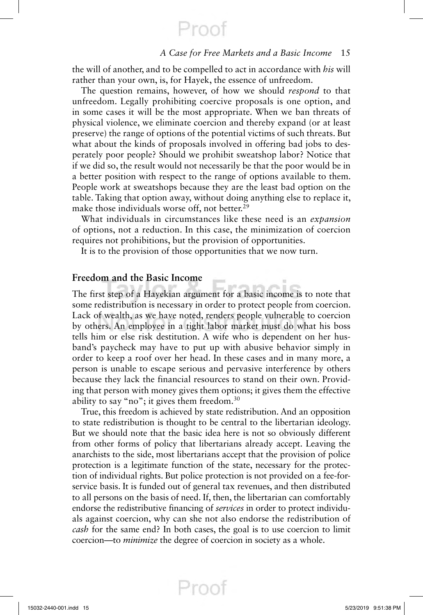### *A Case for Free Markets and a Basic Income* 15

the will of another, and to be compelled to act in accordance with *his* will rather than your own, is, for Hayek, the essence of unfreedom.

The question remains, however, of how we should *respond* to that unfreedom. Legally prohibiting coercive proposals is one option, and in some cases it will be the most appropriate. When we ban threats of physical violence, we eliminate coercion and thereby expand (or at least preserve) the range of options of the potential victims of such threats. But what about the kinds of proposals involved in offering bad jobs to desperately poor people? Should we prohibit sweatshop labor? Notice that if we did so, the result would not necessarily be that the poor would be in a better position with respect to the range of options available to them. People work at sweatshops because they are the least bad option on the table. Taking that option away, without doing anything else to replace it, make those individuals worse off, not better.<sup>29</sup>

What individuals in circumstances like these need is an *expansion* of options, not a reduction. In this case, the minimization of coercion requires not prohibitions, but the provision of opportunities.

It is to the provision of those opportunities that we now turn.

### **Freedom and the Basic Income**

The first step of a Hayekian argument for a basic income is to note that some redistribution is necessary in order to protect people from coercion. Lack of wealth, as we have noted, renders people vulnerable to coercion by others. An employee in a tight labor market must do what his boss tells him or else risk destitution. A wife who is dependent on her husband's paycheck may have to put up with abusive behavior simply in order to keep a roof over her head. In these cases and in many more, a person is unable to escape serious and pervasive interference by others because they lack the financial resources to stand on their own. Providing that person with money gives them options; it gives them the effective ability to say "no"; it gives them freedom. 30

True, this freedom is achieved by state redistribution. And an opposition to state redistribution is thought to be central to the libertarian ideology. But we should note that the basic idea here is not so obviously different from other forms of policy that libertarians already accept. Leaving the anarchists to the side, most libertarians accept that the provision of police protection is a legitimate function of the state, necessary for the protection of individual rights. But police protection is not provided on a fee-forservice basis. It is funded out of general tax revenues, and then distributed to all persons on the basis of need. If, then, the libertarian can comfortably endorse the redistributive financing of *services* in order to protect individuals against coercion, why can she not also endorse the redistribution of *cash* for the same end? In both cases, the goal is to use coercion to limit coercion—to *minimize* the degree of coercion in society as a whole.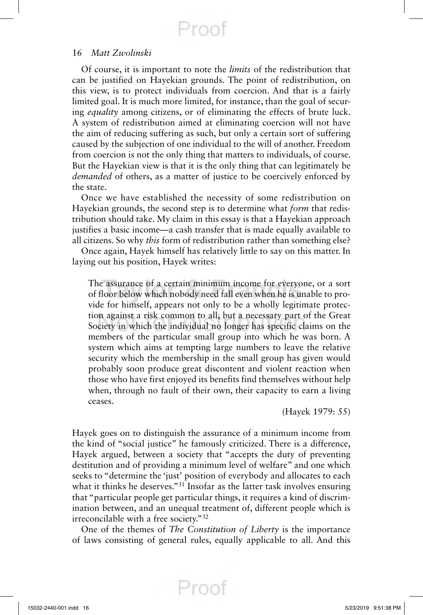#### 16 *Matt Zwolinski*

Of course, it is important to note the *limits* of the redistribution that can be justified on Hayekian grounds. The point of redistribution, on this view, is to protect individuals from coercion. And that is a fairly limited goal. It is much more limited, for instance, than the goal of securing *equality* among citizens, or of eliminating the effects of brute luck. A system of redistribution aimed at eliminating coercion will not have the aim of reducing suffering as such, but only a certain sort of suffering caused by the subjection of one individual to the will of another. Freedom from coercion is not the only thing that matters to individuals, of course. But the Hayekian view is that it is the only thing that can legitimately be *demanded* of others, as a matter of justice to be coercively enforced by the state.

Once we have established the necessity of some redistribution on Hayekian grounds, the second step is to determine what *form* that redistribution should take. My claim in this essay is that a Hayekian approach justifies a basic income—a cash transfer that is made equally available to all citizens. So why *this* form of redistribution rather than something else?

Once again, Hayek himself has relatively little to say on this matter. In laying out his position, Hayek writes:

The assurance of a certain minimum income for everyone, or a sort of floor below which nobody need fall even when he is unable to provide for himself, appears not only to be a wholly legitimate protection against a risk common to all, but a necessary part of the Great Society in which the individual no longer has specific claims on the members of the particular small group into which he was born. A system which aims at tempting large numbers to leave the relative security which the membership in the small group has given would probably soon produce great discontent and violent reaction when those who have first enjoyed its benefits find themselves without help when, through no fault of their own, their capacity to earn a living ceases.

(Hayek 1979: 55)

Hayek goes on to distinguish the assurance of a minimum income from the kind of "social justice" he famously criticized. There is a difference, Hayek argued, between a society that "accepts the duty of preventing destitution and of providing a minimum level of welfare" and one which seeks to "determine the 'just' position of everybody and allocates to each what it thinks he deserves."<sup>31</sup> Insofar as the latter task involves ensuring that "particular people get particular things, it requires a kind of discrimination between, and an unequal treatment of, different people which is irreconcilable with a free society." 32

One of the themes of *The Constitution of Liberty* is the importance of laws consisting of general rules, equally applicable to all. And this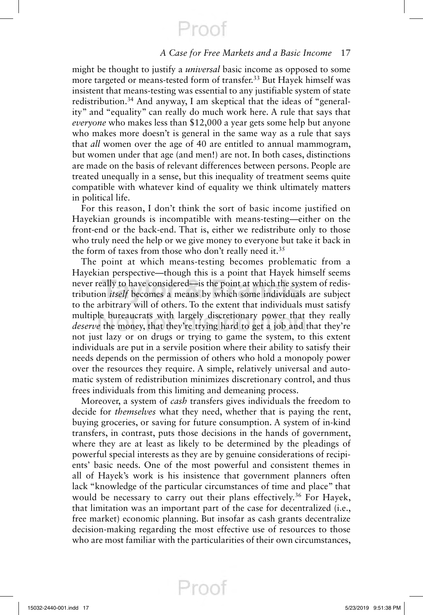#### A Case for Free Markets and a Basic Income

might be thought to justify a *universal* basic income as opposed to some more targeted or means-tested form of transfer.<sup>33</sup> But Hayek himself was insistent that means-testing was essential to any justifiable system of state redistribution. 34 And anyway, I am skeptical that the ideas of "generality" and "equality" can really do much work here. A rule that says that *everyone* who makes less than \$12,000 a year gets some help but anyone who makes more doesn't is general in the same way as a rule that says that *all* women over the age of 40 are entitled to annual mammogram, but women under that age (and men!) are not. In both cases, distinctions are made on the basis of relevant differences between persons. People are treated unequally in a sense, but this inequality of treatment seems quite compatible with whatever kind of equality we think ultimately matters in political life.

For this reason, I don't think the sort of basic income justified on Hayekian grounds is incompatible with means-testing—either on the front-end or the back-end. That is, either we redistribute only to those who truly need the help or we give money to everyone but take it back in the form of taxes from those who don't really need it.<sup>35</sup>

The point at which means-testing becomes problematic from a Hayekian perspective—though this is a point that Hayek himself seems never really to have considered—is the point at which the system of redistribution *itself* becomes a means by which some individuals are subject to the arbitrary will of others. To the extent that individuals must satisfy multiple bureaucrats with largely discretionary power that they really *deserve* the money, that they're trying hard to get a job and that they're not just lazy or on drugs or trying to game the system, to this extent individuals are put in a servile position where their ability to satisfy their needs depends on the permission of others who hold a monopoly power over the resources they require. A simple, relatively universal and automatic system of redistribution minimizes discretionary control, and thus frees individuals from this limiting and demeaning process.

Moreover, a system of *cash* transfers gives individuals the freedom to decide for *themselves* what they need, whether that is paying the rent, buying groceries, or saving for future consumption. A system of in-kind transfers, in contrast, puts those decisions in the hands of government, where they are at least as likely to be determined by the pleadings of powerful special interests as they are by genuine considerations of recipients' basic needs. One of the most powerful and consistent themes in all of Hayek's work is his insistence that government planners often lack "knowledge of the particular circumstances of time and place" that would be necessary to carry out their plans effectively.<sup>36</sup> For Hayek, that limitation was an important part of the case for decentralized (i.e., free market) economic planning. But insofar as cash grants decentralize decision-making regarding the most effective use of resources to those who are most familiar with the particularities of their own circumstances,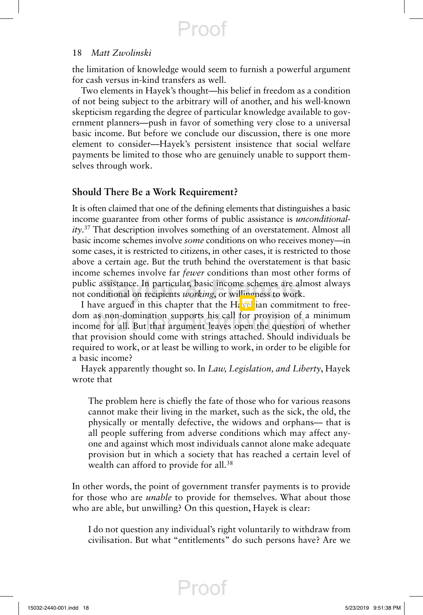#### 18 *Matt Zwolinski*

the limitation of knowledge would seem to furnish a powerful argument for cash versus in-kind transfers as well.

Two elements in Hayek's thought—his belief in freedom as a condition of not being subject to the arbitrary will of another, and his well-known skepticism regarding the degree of particular knowledge available to government planners—push in favor of something very close to a universal basic income. But before we conclude our discussion, there is one more element to consider—Hayek's persistent insistence that social welfare payments be limited to those who are genuinely unable to support themselves through work.

### **Should There Be a Work Requirement?**

It is often claimed that one of the defining elements that distinguishes a basic income guarantee from other forms of public assistance is *unconditionality*. 37 That description involves something of an overstatement. Almost all basic income schemes involve *some* conditions on who receives money—in some cases, it is restricted to citizens, in other cases, it is restricted to those above a certain age. But the truth behind the overstatement is that basic income schemes involve far *fewer* conditions than most other forms of public assistance. In particular, basic income schemes are almost always not conditional on recipients *working*, or willingness to work.

I have argued in this chapter that the  $H_2$   $\overline{V}$  ian commitment to freedom as non-domination supports his call for provision of a minimum income for all. But that argument leaves open the question of whether that provision should come with strings attached. Should individuals be required to work, or at least be willing to work, in order to be eligible for a basic income?

Hayek apparently thought so. In *Law, Legislation, and Liberty*, Hayek wrote that

The problem here is chiefly the fate of those who for various reasons cannot make their living in the market, such as the sick, the old, the physically or mentally defective, the widows and orphans— that is all people suffering from adverse conditions which may affect anyone and against which most individuals cannot alone make adequate provision but in which a society that has reached a certain level of wealth can afford to provide for all.<sup>38</sup>

In other words, the point of government transfer payments is to provide for those who are *unable* to provide for themselves. What about those who are able, but unwilling? On this question, Hayek is clear:

Proot

I do not question any individual's right voluntarily to withdraw from civilisation. But what "entitlements" do such persons have? Are we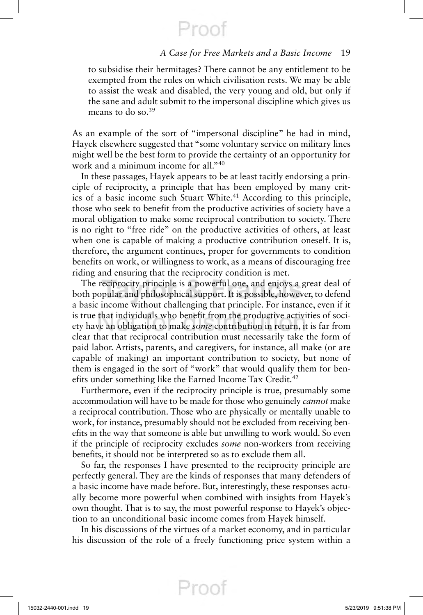#### *A Case for Free Markets and a Basic Income* 19

to subsidise their hermitages? There cannot be any entitlement to be exempted from the rules on which civilisation rests. We may be able to assist the weak and disabled, the very young and old, but only if the sane and adult submit to the impersonal discipline which gives us means to do so.<sup>39</sup>

As an example of the sort of "impersonal discipline" he had in mind, Hayek elsewhere suggested that "some voluntary service on military lines might well be the best form to provide the certainty of an opportunity for work and a minimum income for all."<sup>40</sup>

In these passages, Hayek appears to be at least tacitly endorsing a principle of reciprocity, a principle that has been employed by many critics of a basic income such Stuart White.<sup>41</sup> According to this principle, those who seek to benefit from the productive activities of society have a moral obligation to make some reciprocal contribution to society. There is no right to "free ride" on the productive activities of others, at least when one is capable of making a productive contribution oneself. It is, therefore, the argument continues, proper for governments to condition benefits on work, or willingness to work, as a means of discouraging free riding and ensuring that the reciprocity condition is met.

The reciprocity principle is a powerful one, and enjoys a great deal of both popular and philosophical support. It is possible, however, to defend a basic income without challenging that principle. For instance, even if it is true that individuals who benefit from the productive activities of society have an obligation to make *some* contribution in return, it is far from clear that that reciprocal contribution must necessarily take the form of paid labor. Artists, parents, and caregivers, for instance, all make (or are capable of making) an important contribution to society, but none of them is engaged in the sort of "work" that would qualify them for benefits under something like the Earned Income Tax Credit. 42

Furthermore, even if the reciprocity principle is true, presumably some accommodation will have to be made for those who genuinely *cannot* make a reciprocal contribution. Those who are physically or mentally unable to work, for instance, presumably should not be excluded from receiving benefits in the way that someone is able but unwilling to work would. So even if the principle of reciprocity excludes *some* non-workers from receiving benefits, it should not be interpreted so as to exclude them all.

So far, the responses I have presented to the reciprocity principle are perfectly general. They are the kinds of responses that many defenders of a basic income have made before. But, interestingly, these responses actually become more powerful when combined with insights from Hayek's own thought. That is to say, the most powerful response to Hayek's objection to an unconditional basic income comes from Hayek himself.

In his discussions of the virtues of a market economy, and in particular his discussion of the role of a freely functioning price system within a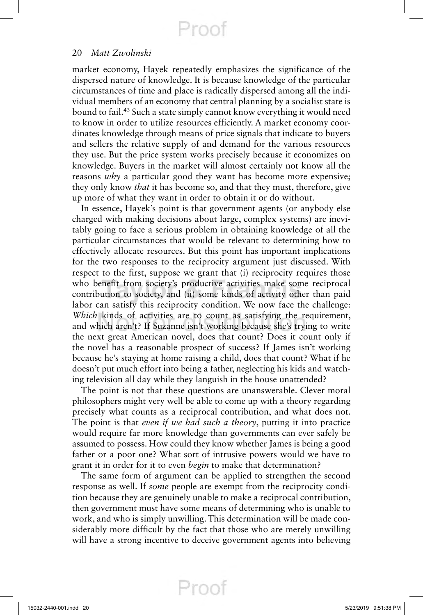#### 20 *Matt Zwolinski*

market economy, Hayek repeatedly emphasizes the significance of the dispersed nature of knowledge. It is because knowledge of the particular circumstances of time and place is radically dispersed among all the individual members of an economy that central planning by a socialist state is bound to fail. 43 Such a state simply cannot know everything it would need to know in order to utilize resources efficiently. A market economy coordinates knowledge through means of price signals that indicate to buyers and sellers the relative supply of and demand for the various resources they use. But the price system works precisely because it economizes on knowledge. Buyers in the market will almost certainly not know all the reasons *why* a particular good they want has become more expensive; they only know *that* it has become so, and that they must, therefore, give up more of what they want in order to obtain it or do without.

In essence, Hayek's point is that government agents (or anybody else charged with making decisions about large, complex systems) are inevitably going to face a serious problem in obtaining knowledge of all the particular circumstances that would be relevant to determining how to effectively allocate resources. But this point has important implications for the two responses to the reciprocity argument just discussed. With respect to the first, suppose we grant that (i) reciprocity requires those who benefit from society's productive activities make some reciprocal contribution to society, and (ii) some kinds of activity other than paid labor can satisfy this reciprocity condition. We now face the challenge: *Which* kinds of activities are to count as satisfying the requirement, and which aren't? If Suzanne isn't working because she's trying to write the next great American novel, does that count? Does it count only if the novel has a reasonable prospect of success? If James isn't working because he's staying at home raising a child, does that count? What if he doesn't put much effort into being a father, neglecting his kids and watching television all day while they languish in the house unattended?

The point is not that these questions are unanswerable. Clever moral philosophers might very well be able to come up with a theory regarding precisely what counts as a reciprocal contribution, and what does not. The point is that *even if we had such a theory*, putting it into practice would require far more knowledge than governments can ever safely be assumed to possess. How could they know whether James is being a good father or a poor one? What sort of intrusive powers would we have to grant it in order for it to even *begin* to make that determination?

The same form of argument can be applied to strengthen the second response as well. If *some* people are exempt from the reciprocity condition because they are genuinely unable to make a reciprocal contribution, then government must have some means of determining who is unable to work, and who is simply unwilling. This determination will be made considerably more difficult by the fact that those who are merely unwilling will have a strong incentive to deceive government agents into believing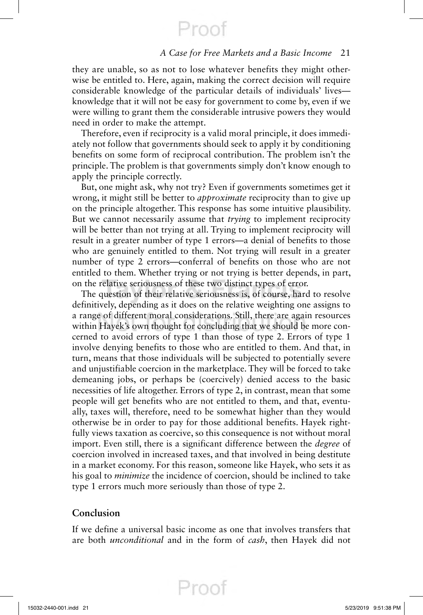#### *A Case for Free Markets and a Basic Income* 21

they are unable, so as not to lose whatever benefits they might otherwise be entitled to. Here, again, making the correct decision will require considerable knowledge of the particular details of individuals' lives knowledge that it will not be easy for government to come by, even if we were willing to grant them the considerable intrusive powers they would need in order to make the attempt.

Therefore, even if reciprocity is a valid moral principle, it does immediately not follow that governments should seek to apply it by conditioning benefits on some form of reciprocal contribution. The problem isn't the principle. The problem is that governments simply don't know enough to apply the principle correctly.

But, one might ask, why not try? Even if governments sometimes get it wrong, it might still be better to *approximate* reciprocity than to give up on the principle altogether. This response has some intuitive plausibility. But we cannot necessarily assume that *trying* to implement reciprocity will be better than not trying at all. Trying to implement reciprocity will result in a greater number of type 1 errors—a denial of benefits to those who are genuinely entitled to them. Not trying will result in a greater number of type 2 errors—conferral of benefits on those who are not entitled to them. Whether trying or not trying is better depends, in part, on the relative seriousness of these two distinct types of error.

The question of their relative seriousness is, of course, hard to resolve definitively, depending as it does on the relative weighting one assigns to a range of different moral considerations. Still, there are again resources within Hayek's own thought for concluding that we should be more concerned to avoid errors of type 1 than those of type 2. Errors of type 1 involve denying benefits to those who are entitled to them. And that, in turn, means that those individuals will be subjected to potentially severe and unjustifiable coercion in the marketplace. They will be forced to take demeaning jobs, or perhaps be (coercively) denied access to the basic necessities of life altogether. Errors of type 2, in contrast, mean that some people will get benefits who are not entitled to them, and that, eventually, taxes will, therefore, need to be somewhat higher than they would otherwise be in order to pay for those additional benefits. Hayek rightfully views taxation as coercive, so this consequence is not without moral import. Even still, there is a significant difference between the *degree* of coercion involved in increased taxes, and that involved in being destitute in a market economy. For this reason, someone like Hayek, who sets it as his goal to *minimize* the incidence of coercion, should be inclined to take type 1 errors much more seriously than those of type 2.

### **Conclusion**

If we define a universal basic income as one that involves transfers that are both *unconditional* and in the form of *cash* , then Hayek did not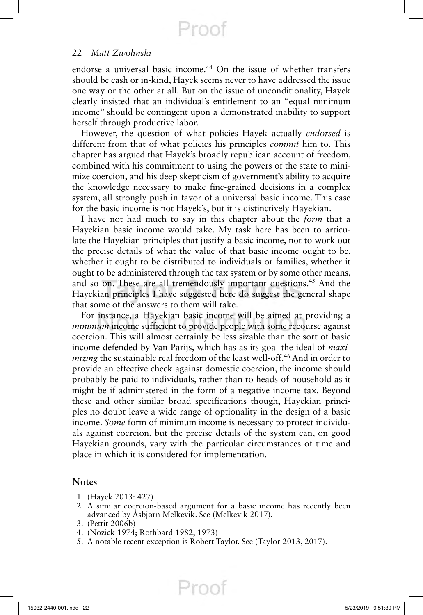#### 22 *Matt Zwolinski*

endorse a universal basic income. 44 On the issue of whether transfers should be cash or in-kind, Hayek seems never to have addressed the issue one way or the other at all. But on the issue of unconditionality, Hayek clearly insisted that an individual's entitlement to an "equal minimum income" should be contingent upon a demonstrated inability to support herself through productive labor.

However, the question of what policies Hayek actually *endorsed* is different from that of what policies his principles *commit* him to. This chapter has argued that Hayek's broadly republican account of freedom, combined with his commitment to using the powers of the state to minimize coercion, and his deep skepticism of government's ability to acquire the knowledge necessary to make fine-grained decisions in a complex system, all strongly push in favor of a universal basic income. This case for the basic income is not Hayek's, but it is distinctively Hayekian.

I have not had much to say in this chapter about the *form* that a Hayekian basic income would take. My task here has been to articulate the Hayekian principles that justify a basic income, not to work out the precise details of what the value of that basic income ought to be, whether it ought to be distributed to individuals or families, whether it ought to be administered through the tax system or by some other means, and so on. These are all tremendously important questions. 45 And the Hayekian principles I have suggested here do suggest the general shape that some of the answers to them will take.

For instance, a Hayekian basic income will be aimed at providing a *minimum* income sufficient to provide people with some recourse against coercion. This will almost certainly be less sizable than the sort of basic income defended by Van Parijs, which has as its goal the ideal of *maximizing* the sustainable real freedom of the least well-off.<sup>46</sup> And in order to provide an effective check against domestic coercion, the income should probably be paid to individuals, rather than to heads-of-household as it might be if administered in the form of a negative income tax. Beyond these and other similar broad specifications though, Hayekian principles no doubt leave a wide range of optionality in the design of a basic income. *Some* form of minimum income is necessary to protect individuals against coercion, but the precise details of the system can, on good Hayekian grounds, vary with the particular circumstances of time and place in which it is considered for implementation.

### **Notes**

- 1. (Hayek 2013: 427)
- 2 . A similar coercion-based argument for a basic income has recently been advanced by Åsbjørn Melkevik. See (Melkevik 2017).
- 3. (Pettit 2006b)
- 4. (Nozick 1974; Rothbard 1982, 1973)
- 5. A notable recent exception is Robert Taylor. See (Taylor 2013, 2017).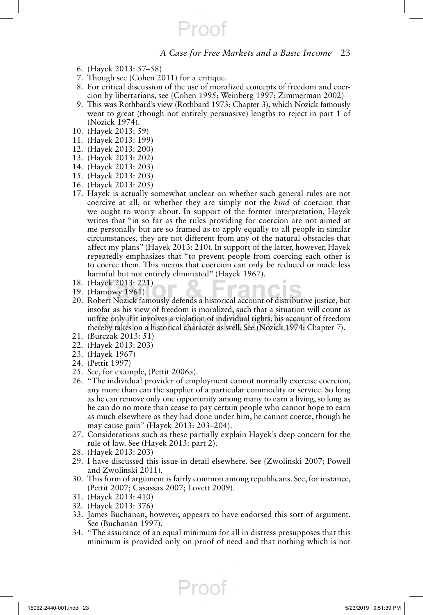#### *A Case for Free Markets and a Basic Income* 23

- 6. (Hayek 2013: 57–58)
- 7. Though see (Cohen 2011) for a critique.
- 8 . For critical discussion of the use of moralized concepts of freedom and coercion by libertarians, see (Cohen 1995; Weinberg 1997; Zimmerman 2002)
- 9. This was Rothbard's view (Rothbard 1973: Chapter 3), which Nozick famously went to great (though not entirely persuasive) lengths to reject in part 1 of (Nozick 1974).
- 10. (Hayek 2013: 59)
- 11. (Hayek 2013: 199)
- 12. (Hayek 2013: 200)
- 13. (Hayek 2013: 202)
- 14. (Hayek 2013: 203)
- 15 . ( Hayek 2013 : 203)
- 16. (Hayek 2013: 205)
- 17 . Hayek is actually somewhat unclear on whether such general rules are not coercive at all, or whether they are simply not the *kind* of coercion that we ought to worry about. In support of the former interpretation, Hayek writes that "in so far as the rules providing for coercion are not aimed at me personally but are so framed as to apply equally to all people in similar circumstances, they are not different from any of the natural obstacles that affect my plans" ( Hayek 2013 : 210). In support of the latter, however, Hayek repeatedly emphasizes that "to prevent people from coercing each other is to coerce them. This means that coercion can only be reduced or made less harmful but not entirely eliminated" (Hayek 1967).
- 18 . ( Hayek 2013 : 221)
- 19. (Hamowy 1961)
- 20 . Robert Nozick famously defends a historical account of distributive justice, but insofar as his view of freedom is moralized, such that a situation will count as unfree only if it involves a violation of individual rights, his account of freedom thereby takes on a historical character as well. See ( Nozick 1974 : Chapter 7).
- 21. (Burczak 2013: 51)
- 22. (Hayek 2013: 203)
- 23. (Hayek 1967)
- 24. (Pettit 1997)
- 25. See, for example, (Pettit 2006a).
- 26 . "The individual provider of employment cannot normally exercise coercion, any more than can the supplier of a particular commodity or service. So long as he can remove only one opportunity among many to earn a living, so long as he can do no more than cease to pay certain people who cannot hope to earn as much elsewhere as they had done under him, he cannot coerce, though he may cause pain" (Hayek 2013: 203–204).
- 27 . Considerations such as these partially explain Hayek's deep concern for the rule of law. See (Hayek 2013: part 2).
- 28. (Hayek 2013: 203)
- 29. I have discussed this issue in detail elsewhere. See (Zwolinski 2007; Powell and Zwolinski 2011).
- 30 . This form of argument is fairly common among republicans. See, for instance, (Pettit 2007; Casassas 2007; Lovett 2009).
- 31. (Hayek 2013: 410)
- 32. (Hayek 2013: 376)
- 33 . James Buchanan, however, appears to have endorsed this sort of argument. See (Buchanan 1997).
- 34 . "The assurance of an equal minimum for all in distress presupposes that this minimum is provided only on proof of need and that nothing which is not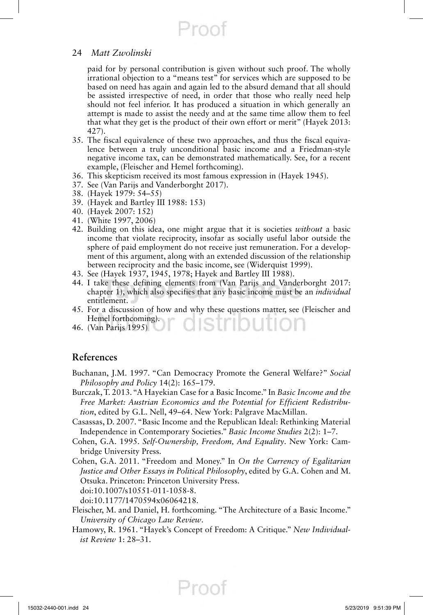### 24 *Matt Zwolinski*

paid for by personal contribution is given without such proof. The wholly irrational objection to a "means test" for services which are supposed to be based on need has again and again led to the absurd demand that all should be assisted irrespective of need, in order that those who really need help should not feel inferior. It has produced a situation in which generally an attempt is made to assist the needy and at the same time allow them to feel that what they get is the product of their own effort or merit" ( Hayek 2013 : 427).

- 35 . The fiscal equivalence of these two approaches, and thus the fiscal equivalence between a truly unconditional basic income and a Friedman-style negative income tax, can be demonstrated mathematically. See, for a recent example, (Fleischer and Hemel forthcoming).
- 36. This skepticism received its most famous expression in (Hayek 1945).
- 37. See (Van Parijs and Vanderborght 2017).
- 38. (Hayek 1979: 54–55)
- 39. (Hayek and Bartley III 1988: 153)
- 40. (Hayek 2007: 152)
- 41. (White 1997, 2006)
- 42 . Building on this idea, one might argue that it is societies *without* a basic income that violate reciprocity, insofar as socially useful labor outside the sphere of paid employment do not receive just remuneration. For a development of this argument, along with an extended discussion of the relationship between reciprocity and the basic income, see (Widerquist 1999).
- 43. See (Hayek 1937, 1945, 1978; Hayek and Bartley III 1988).
- 44. I take these defining elements from (Van Parijs and Vanderborght 2017: chapter 1), which also specifies that any basic income must be an *individual* entitlement.
- 45. For a discussion of how and why these questions matter, see (Fleischer and Hemel forthcoming).
- 46. (Van Parijs 1995)

### **References**

- Buchanan, J.M. 1997. "Can Democracy Promote the General Welfare?" *Social Philosophy and Policy* 14(2): 165–179.
- Burczak, T. 2013. "A Hayekian Case for a Basic Income." In *Basic Income and the Free Market: Austrian Economics and the Potential for Efficient Redistribu*tion, edited by G.L. Nell, 49-64. New York: Palgrave MacMillan.
- Casassas, D. 2007. "Basic Income and the Republican Ideal: Rethinking Material Independence in Contemporary Societies." *Basic Income Studies* 2(2): 1–7.
- Cohen, G.A. 1995. *Self-Ownership, Freedom, And Equality*. New York: Cambridge University Press.
- Cohen, G.A. 2011. "Freedom and Money." In *On the Currency of Egalitarian Justice and Other Essays in Political Philosophy*, edited by G.A. Cohen and M. Otsuka. Princeton: Princeton University Press.

doi:10.1007/s10551-011-1058-8.

doi:10.1177/1470594x06064218.

- Fleischer, M. and Daniel, H. forthcoming. "The Architecture of a Basic Income." *University of Chicago Law Review*.
- Hamowy, R. 1961. "Hayek's Concept of Freedom: A Critique." *New Individualist Review* 1: 28–31.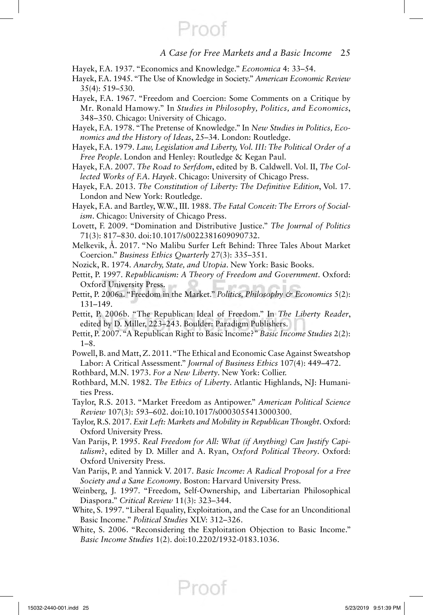### *A Case for Free Markets and a Basic Income* 25

Hayek, F.A. 1937. "Economics and Knowledge." *Economica* 4: 33–54.

Hayek, F.A. 1945. "The Use of Knowledge in Society." *American Economic Review* 35(4): 519–530.

Hayek, F.A. 1967. "Freedom and Coercion: Some Comments on a Critique by Mr. Ronald Hamowy." In *Studies in Philosophy, Politics, and Economics* , 348–350. Chicago: University of Chicago.

Hayek, F.A. 1978. "The Pretense of Knowledge." In *New Studies in Politics, Economics and the History of Ideas* , 25–34. London: Routledge.

Hayek, F.A. 1979. *Law, Legislation and Liberty, Vol. III: The Political Order of a Free People* . London and Henley: Routledge & Kegan Paul.

Hayek, F.A. 2007. *The Road to Serfdom*, edited by B. Caldwell. Vol. II, *The Collected Works of F.A. Hayek* . Chicago: University of Chicago Press.

Hayek, F.A. 2013. *The Constitution of Liberty: The Definitive Edition*, Vol. 17. London and New York: Routledge.

Hayek, F.A. and Bartley, W.W., III. 1988. *The Fatal Conceit: The Errors of Socialism*. Chicago: University of Chicago Press.

Lovett, F. 2009. "Domination and Distributive Justice." *The Journal of Politics* 71(3): 817–830. doi:10.1017/s0022381609090732.

Melkevik, Å. 2017. "No Malibu Surfer Left Behind: Three Tales About Market Coercion." *Business Ethics Quarterly* 27(3): 335–351.

Nozick, R. 1974. *Anarchy, State, and Utopia* . New York: Basic Books.

- Pettit, P. 1997. *Republicanism: A Theory of Freedom and Government*. Oxford: Oxford University Press.
- Pettit, P. 2006a. "Freedom in the Market." *Politics, Philosophy & Economics* 5(2): 131–149.

Pettit, P. 2006b. "The Republican Ideal of Freedom." In *The Liberty Reader*, edited by D. Miller, 223–243. Boulder: Paradigm Publishers.

Pettit, P. 2007. "A Republican Right to Basic Income?" *Basic Income Studies* 2(2): 1–8.

Powell, B. and Matt, Z. 2011. "The Ethical and Economic Case Against Sweatshop Labor: A Critical Assessment." *Journal of Business Ethics* 107(4): 449–472.

Rothbard, M.N. 1973. *For a New Liberty* . New York: Collier.

Rothbard, M.N. 1982. *The Ethics of Liberty*. Atlantic Highlands, NJ: Humanities Press.

Taylor, R.S. 2013. "Market Freedom as Antipower." *American Political Science Review* 107(3): 593–602. doi:10.1017/s0003055413000300.

Taylor, R.S. 2017. *Exit Left: Markets and Mobility in Republican Thought*. Oxford: Oxford University Press.

Van Parijs, P. 1995. *Real Freedom for All: What (if Anything) Can Justify Capitalism*?, edited by D. Miller and A. Ryan, *Oxford Political Theory*. Oxford: Oxford University Press.

Van Parijs, P. and Yannick V. 2017. *Basic Income: A Radical Proposal for a Free Society and a Sane Economy* . Boston: Harvard University Press.

Weinberg, J. 1997. "Freedom, Self-Ownership, and Libertarian Philosophical Diaspora." *Critical Review* 11(3): 323–344.

White, S. 1997. "Liberal Equality, Exploitation, and the Case for an Unconditional Basic Income." *Political Studies* XLV: 312–326.

White, S. 2006. "Reconsidering the Exploitation Objection to Basic Income." *Basic Income Studies* 1(2). doi:10.2202/1932-0183.1036.